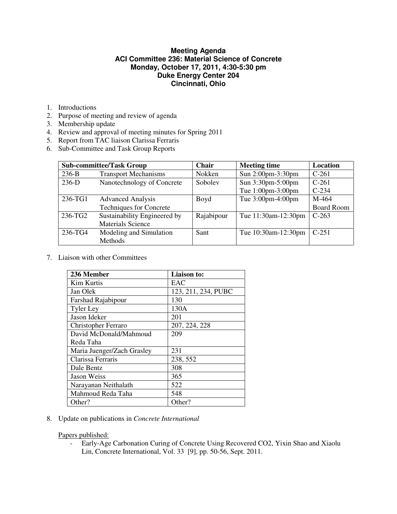## **Meeting Agenda ACI Committee 236: Material Science of Concrete Monday, October 17, 2011, 4:30-5:30 pm Duke Energy Center 204 Cincinnati, Ohio**

- 1. Introductions
- 2. Purpose of meeting and review of agenda
- 3. Membership update
- 4. Review and approval of meeting minutes for Spring 2011
- 5. Report from TAC liaison Clarissa Ferraris
- 6. Sub-Committee and Task Group Reports

| <b>Sub-committee/Task Group</b> |                                | <b>Chair</b> | <b>Meeting time</b> | Location          |
|---------------------------------|--------------------------------|--------------|---------------------|-------------------|
| $236-B$                         | <b>Transport Mechanisms</b>    | Nokken       | Sun 2:00pm-3:30pm   | $C-261$           |
| $236-D$                         | Nanotechnology of Concrete     | Soboley      | Sun 3:30pm-5:00pm   | $C-261$           |
|                                 |                                |              | Tue 1:00pm-3:00pm   | $C-234$           |
| 236-TG1                         | <b>Advanced Analysis</b>       | Boyd         | Tue 3:00pm-4:00pm   | M-464             |
|                                 | <b>Techniques for Concrete</b> |              |                     | <b>Board Room</b> |
| 236-TG2                         | Sustainability Engineered by   | Rajabipour   | Tue 11:30am-12:30pm | $C-263$           |
|                                 | <b>Materials Science</b>       |              |                     |                   |
| 236-TG4                         | Modeling and Simulation        | Sant         | Tue 10:30am-12:30pm | $C-251$           |
|                                 | Methods                        |              |                     |                   |

7. Liaison with other Committees

| 236 Member                 | <b>Liaison to:</b>  |  |
|----------------------------|---------------------|--|
| <b>Kim Kurtis</b>          | EAC                 |  |
| Jan Olek                   | 123, 211, 234, PUBC |  |
| Farshad Rajabipour         | 130                 |  |
| <b>Tyler Ley</b>           | 130A                |  |
| Jason Ideker               | 201                 |  |
| <b>Christopher Ferraro</b> | 207, 224, 228       |  |
| David McDonald/Mahmoud     | 209                 |  |
| Reda Taha                  |                     |  |
| Maria Juenger/Zach Grasley | 231                 |  |
| Clarissa Ferraris          | 238, 552            |  |
| Dale Bentz                 | 308                 |  |
| Jason Weiss                | 365                 |  |
| Narayanan Neithalath       | 522                 |  |
| Mahmoud Reda Taha          | 548                 |  |
| Other?                     | Other?              |  |

8. Update on publications in *Concrete International*

Papers published:

- Early-Age Carbonation Curing of Concrete Using Recovered CO2, Yixin Shao and Xiaolu Lin, Concrete International, Vol. 33 [9], pp. 50-56, Sept. 2011.